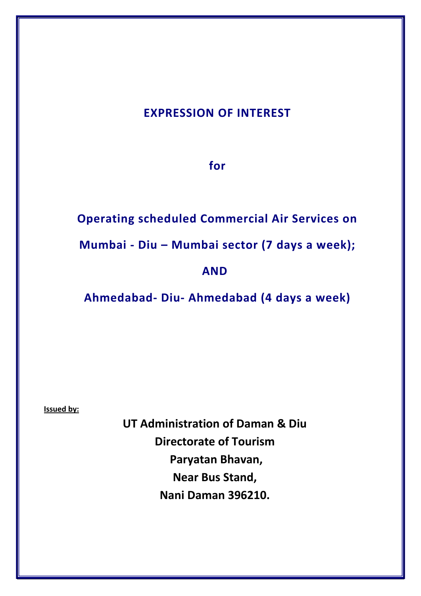# **EXPRESSION OF INTEREST**

**for**

**Operating scheduled Commercial Air Services on** 

**Mumbai - Diu – Mumbai sector (7 days a week);** 

# **AND**

**Ahmedabad- Diu- Ahmedabad (4 days a week)**

**Issued by:**

**UT Administration of Daman & Diu Directorate of Tourism Paryatan Bhavan, Near Bus Stand, Nani Daman 396210.**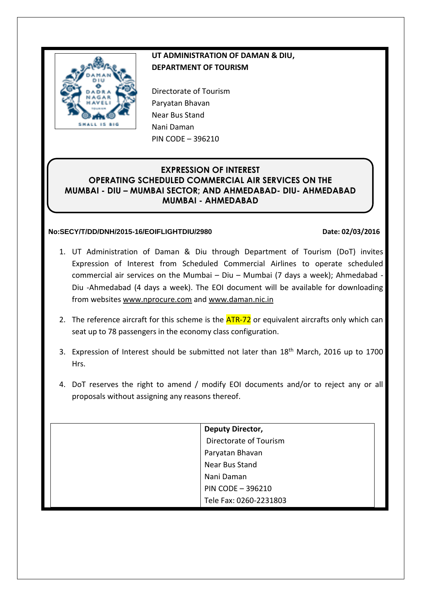

# **UT ADMINISTRATION OF DAMAN & DIU, DEPARTMENT OF TOURISM**

Directorate of Tourism Paryatan Bhavan Near Bus Stand Nani Daman PIN CODE – 396210

# **EXPRESSION OF INTEREST OPERATING SCHEDULED COMMERCIAL AIR SERVICES ON THE MUMBAI - DIU – MUMBAI SECTOR; AND AHMEDABAD- DIU- AHMEDABAD MUMBAI - AHMEDABAD**

# **No:SECY/T/DD/DNH/2015-16/EOIFLIGHTDIU/2980 Date: 02/03/2016**

- 1. UT Administration of Daman & Diu through Department of Tourism (DoT) invites Expression of Interest from Scheduled Commercial Airlines to operate scheduled commercial air services on the Mumbai – Diu – Mumbai (7 days a week); Ahmedabad - Diu -Ahmedabad (4 days a week). The EOI document will be available for downloading from websites [www.nprocure.com](http://www.nprocure.com/) and www.daman.nic.in
- 2. The reference aircraft for this scheme is the **ATR-72** or equivalent aircrafts only which can seat up to 78 passengers in the economy class configuration.
- 3. Expression of Interest should be submitted not later than 18<sup>th</sup> March, 2016 up to 1700 Hrs.
- 4. DoT reserves the right to amend / modify EOI documents and/or to reject any or all proposals without assigning any reasons thereof.

| Deputy Director,       |
|------------------------|
| Directorate of Tourism |
| Paryatan Bhavan        |
| Near Bus Stand         |
| Nani Daman             |
| PIN CODE - 396210      |
| Tele Fax: 0260-2231803 |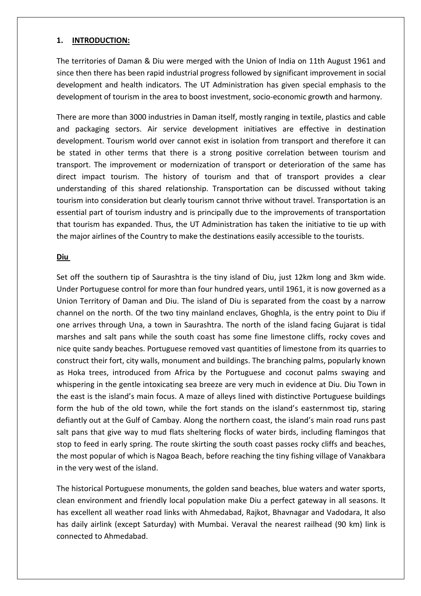#### **1. INTRODUCTION:**

The territories of Daman & Diu were merged with the Union of India on 11th August 1961 and since then there has been rapid industrial progress followed by significant improvement in social development and health indicators. The UT Administration has given special emphasis to the development of tourism in the area to boost investment, socio-economic growth and harmony.

There are more than 3000 industries in Daman itself, mostly ranging in textile, plastics and cable and packaging sectors. Air service development initiatives are effective in destination development. Tourism world over cannot exist in isolation from transport and therefore it can be stated in other terms that there is a strong positive correlation between tourism and transport. The improvement or modernization of transport or deterioration of the same has direct impact tourism. The history of tourism and that of transport provides a clear understanding of this shared relationship. Transportation can be discussed without taking tourism into consideration but clearly tourism cannot thrive without travel. Transportation is an essential part of tourism industry and is principally due to the improvements of transportation that tourism has expanded. Thus, the UT Administration has taken the initiative to tie up with the major airlines of the Country to make the destinations easily accessible to the tourists.

#### **Diu**

Set off the southern tip of Saurashtra is the tiny island of Diu, just 12km long and 3km wide. Under Portuguese control for more than four hundred years, until 1961, it is now governed as a Union Territory of Daman and Diu. The island of Diu is separated from the coast by a narrow channel on the north. Of the two tiny mainland enclaves, Ghoghla, is the entry point to Diu if one arrives through Una, a town in Saurashtra. The north of the island facing Gujarat is tidal marshes and salt pans while the south coast has some fine limestone cliffs, rocky coves and nice quite sandy beaches. Portuguese removed vast quantities of limestone from its quarries to construct their fort, city walls, monument and buildings. The branching palms, popularly known as Hoka trees, introduced from Africa by the Portuguese and coconut palms swaying and whispering in the gentle intoxicating sea breeze are very much in evidence at Diu. Diu Town in the east is the island's main focus. A maze of alleys lined with distinctive Portuguese buildings form the hub of the old town, while the fort stands on the island's easternmost tip, staring defiantly out at the Gulf of Cambay. Along the northern coast, the island's main road runs past salt pans that give way to mud flats sheltering flocks of water birds, including flamingos that stop to feed in early spring. The route skirting the south coast passes rocky cliffs and beaches, the most popular of which is Nagoa Beach, before reaching the tiny fishing village of Vanakbara in the very west of the island.

The historical Portuguese monuments, the golden sand beaches, blue waters and water sports, clean environment and friendly local population make Diu a perfect gateway in all seasons. It has excellent all weather road links with Ahmedabad, Rajkot, Bhavnagar and Vadodara, It also has daily airlink (except Saturday) with Mumbai. Veraval the nearest railhead (90 km) link is connected to Ahmedabad.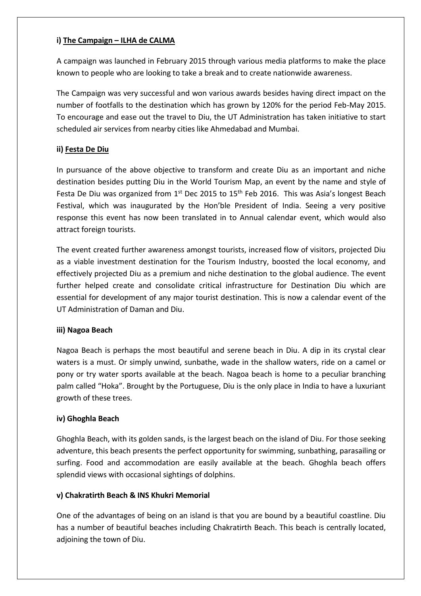# **i) The Campaign – ILHA de CALMA**

A campaign was launched in February 2015 through various media platforms to make the place known to people who are looking to take a break and to create nationwide awareness.

The Campaign was very successful and won various awards besides having direct impact on the number of footfalls to the destination which has grown by 120% for the period Feb-May 2015. To encourage and ease out the travel to Diu, the UT Administration has taken initiative to start scheduled air services from nearby cities like Ahmedabad and Mumbai.

# **ii) Festa De Diu**

In pursuance of the above objective to transform and create Diu as an important and niche destination besides putting Diu in the World Tourism Map, an event by the name and style of Festa De Diu was organized from  $1<sup>st</sup>$  Dec 2015 to  $15<sup>th</sup>$  Feb 2016. This was Asia's longest Beach Festival, which was inaugurated by the Hon'ble President of India. Seeing a very positive response this event has now been translated in to Annual calendar event, which would also attract foreign tourists.

The event created further awareness amongst tourists, increased flow of visitors, projected Diu as a viable investment destination for the Tourism Industry, boosted the local economy, and effectively projected Diu as a premium and niche destination to the global audience. The event further helped create and consolidate critical infrastructure for Destination Diu which are essential for development of any major tourist destination. This is now a calendar event of the UT Administration of Daman and Diu.

# **iii) Nagoa Beach**

Nagoa Beach is perhaps the most beautiful and serene beach in Diu. A dip in its crystal clear waters is a must. Or simply unwind, sunbathe, wade in the shallow waters, ride on a camel or pony or try water sports available at the beach. Nagoa beach is home to a peculiar branching palm called "Hoka". Brought by the Portuguese, Diu is the only place in India to have a luxuriant growth of these trees.

# **iv) Ghoghla Beach**

Ghoghla Beach, with its golden sands, is the largest beach on the island of Diu. For those seeking adventure, this beach presents the perfect opportunity for swimming, sunbathing, parasailing or surfing. Food and accommodation are easily available at the beach. Ghoghla beach offers splendid views with occasional sightings of dolphins.

# **v) Chakratirth Beach & INS Khukri Memorial**

One of the advantages of being on an island is that you are bound by a beautiful coastline. Diu has a number of beautiful beaches including Chakratirth Beach. This beach is centrally located, adjoining the town of Diu.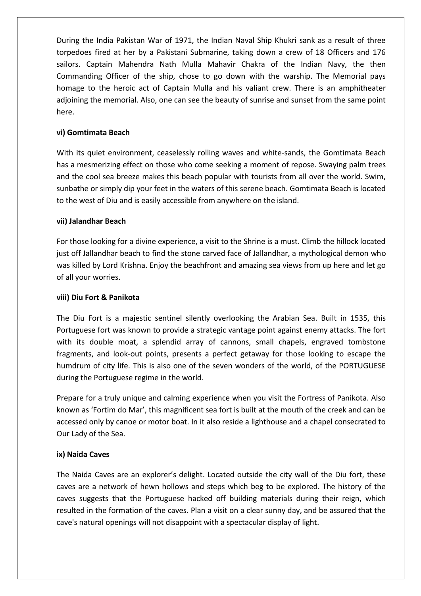During the India Pakistan War of 1971, the Indian Naval Ship Khukri sank as a result of three torpedoes fired at her by a Pakistani Submarine, taking down a crew of 18 Officers and 176 sailors. Captain Mahendra Nath Mulla Mahavir Chakra of the Indian Navy, the then Commanding Officer of the ship, chose to go down with the warship. The Memorial pays homage to the heroic act of Captain Mulla and his valiant crew. There is an amphitheater adjoining the memorial. Also, one can see the beauty of sunrise and sunset from the same point here.

## **vi) Gomtimata Beach**

With its quiet environment, ceaselessly rolling waves and white-sands, the Gomtimata Beach has a mesmerizing effect on those who come seeking a moment of repose. Swaying palm trees and the cool sea breeze makes this beach popular with tourists from all over the world. Swim, sunbathe or simply dip your feet in the waters of this serene beach. Gomtimata Beach is located to the west of Diu and is easily accessible from anywhere on the island.

#### **vii) Jalandhar Beach**

For those looking for a divine experience, a visit to the Shrine is a must. Climb the hillock located just off Jallandhar beach to find the stone carved face of Jallandhar, a mythological demon who was killed by Lord Krishna. Enjoy the beachfront and amazing sea views from up here and let go of all your worries.

#### **viii) Diu Fort & Panikota**

The Diu Fort is a majestic sentinel silently overlooking the Arabian Sea. Built in 1535, this Portuguese fort was known to provide a strategic vantage point against enemy attacks. The fort with its double moat, a splendid array of cannons, small chapels, engraved tombstone fragments, and look-out points, presents a perfect getaway for those looking to escape the humdrum of city life. This is also one of the seven wonders of the world, of the PORTUGUESE during the Portuguese regime in the world.

Prepare for a truly unique and calming experience when you visit the Fortress of Panikota. Also known as 'Fortim do Mar', this magnificent sea fort is built at the mouth of the creek and can be accessed only by canoe or motor boat. In it also reside a lighthouse and a chapel consecrated to Our Lady of the Sea.

# **ix) Naida Caves**

The Naida Caves are an explorer's delight. Located outside the city wall of the Diu fort, these caves are a network of hewn hollows and steps which beg to be explored. The history of the caves suggests that the Portuguese hacked off building materials during their reign, which resulted in the formation of the caves. Plan a visit on a clear sunny day, and be assured that the cave's natural openings will not disappoint with a spectacular display of light.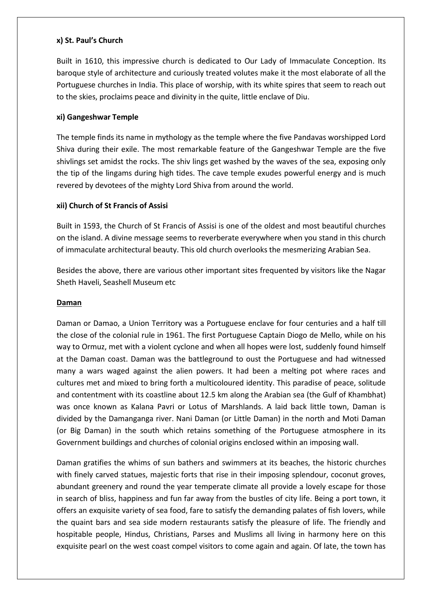#### **x) St. Paul's Church**

Built in 1610, this impressive church is dedicated to Our Lady of Immaculate Conception. Its baroque style of architecture and curiously treated volutes make it the most elaborate of all the Portuguese churches in India. This place of worship, with its white spires that seem to reach out to the skies, proclaims peace and divinity in the quite, little enclave of Diu.

## **xi) Gangeshwar Temple**

The temple finds its name in mythology as the temple where the five Pandavas worshipped Lord Shiva during their exile. The most remarkable feature of the Gangeshwar Temple are the five shivlings set amidst the rocks. The shiv lings get washed by the waves of the sea, exposing only the tip of the lingams during high tides. The cave temple exudes powerful energy and is much revered by devotees of the mighty Lord Shiva from around the world.

# **xii) Church of St Francis of Assisi**

Built in 1593, the Church of St Francis of Assisi is one of the oldest and most beautiful churches on the island. A divine message seems to reverberate everywhere when you stand in this church of immaculate architectural beauty. This old church overlooks the mesmerizing Arabian Sea.

Besides the above, there are various other important sites frequented by visitors like the Nagar Sheth Haveli, Seashell Museum etc

# **Daman**

Daman or Damao, a Union Territory was a Portuguese enclave for four centuries and a half till the close of the colonial rule in 1961. The first Portuguese Captain Diogo de Mello, while on his way to Ormuz, met with a violent cyclone and when all hopes were lost, suddenly found himself at the Daman coast. Daman was the battleground to oust the Portuguese and had witnessed many a wars waged against the alien powers. It had been a melting pot where races and cultures met and mixed to bring forth a multicoloured identity. This paradise of peace, solitude and contentment with its coastline about 12.5 km along the Arabian sea (the Gulf of Khambhat) was once known as Kalana Pavri or Lotus of Marshlands. A laid back little town, Daman is divided by the Damanganga river. Nani Daman (or Little Daman) in the north and Moti Daman (or Big Daman) in the south which retains something of the Portuguese atmosphere in its Government buildings and churches of colonial origins enclosed within an imposing wall.

Daman gratifies the whims of sun bathers and swimmers at its beaches, the historic churches with finely carved statues, majestic forts that rise in their imposing splendour, coconut groves, abundant greenery and round the year temperate climate all provide a lovely escape for those in search of bliss, happiness and fun far away from the bustles of city life. Being a port town, it offers an exquisite variety of sea food, fare to satisfy the demanding palates of fish lovers, while the quaint bars and sea side modern restaurants satisfy the pleasure of life. The friendly and hospitable people, Hindus, Christians, Parses and Muslims all living in harmony here on this exquisite pearl on the west coast compel visitors to come again and again. Of late, the town has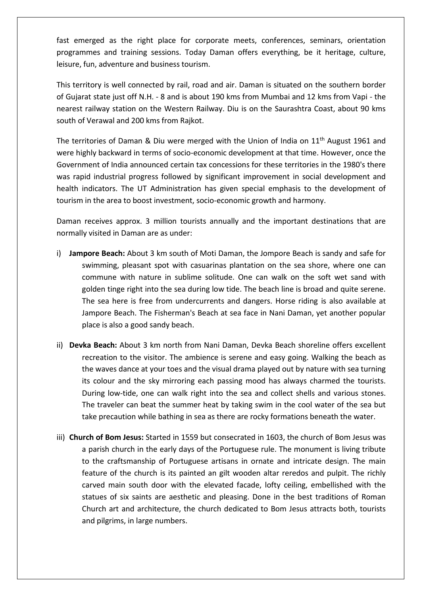fast emerged as the right place for corporate meets, conferences, seminars, orientation programmes and training sessions. Today Daman offers everything, be it heritage, culture, leisure, fun, adventure and business tourism.

This territory is well connected by rail, road and air. Daman is situated on the southern border of Gujarat state just off N.H. - 8 and is about 190 kms from Mumbai and 12 kms from Vapi - the nearest railway station on the Western Railway. Diu is on the Saurashtra Coast, about 90 kms south of Verawal and 200 kms from Rajkot.

The territories of Daman & Diu were merged with the Union of India on 11<sup>th</sup> August 1961 and were highly backward in terms of socio-economic development at that time. However, once the Government of India announced certain tax concessions for these territories in the 1980's there was rapid industrial progress followed by significant improvement in social development and health indicators. The UT Administration has given special emphasis to the development of tourism in the area to boost investment, socio-economic growth and harmony.

Daman receives approx. 3 million tourists annually and the important destinations that are normally visited in Daman are as under:

- i) **Jampore Beach:** About 3 km south of Moti Daman, the Jompore Beach is sandy and safe for swimming, pleasant spot with casuarinas plantation on the sea shore, where one can commune with nature in sublime solitude. One can walk on the soft wet sand with golden tinge right into the sea during low tide. The beach line is broad and quite serene. The sea here is free from undercurrents and dangers. Horse riding is also available at Jampore Beach. The Fisherman's Beach at sea face in Nani Daman, yet another popular place is also a good sandy beach.
- ii) **Devka Beach:** About 3 km north from Nani Daman, Devka Beach shoreline offers excellent recreation to the visitor. The ambience is serene and easy going. Walking the beach as the waves dance at your toes and the visual drama played out by nature with sea turning its colour and the sky mirroring each passing mood has always charmed the tourists. During low-tide, one can walk right into the sea and collect shells and various stones. The traveler can beat the summer heat by taking swim in the cool water of the sea but take precaution while bathing in sea as there are rocky formations beneath the water.
- iii) **Church of Bom Jesus:** Started in 1559 but consecrated in 1603, the church of Bom Jesus was a parish church in the early days of the Portuguese rule. The monument is living tribute to the craftsmanship of Portuguese artisans in ornate and intricate design. The main feature of the church is its painted an gilt wooden altar reredos and pulpit. The richly carved main south door with the elevated facade, lofty ceiling, embellished with the statues of six saints are aesthetic and pleasing. Done in the best traditions of Roman Church art and architecture, the church dedicated to Bom Jesus attracts both, tourists and pilgrims, in large numbers.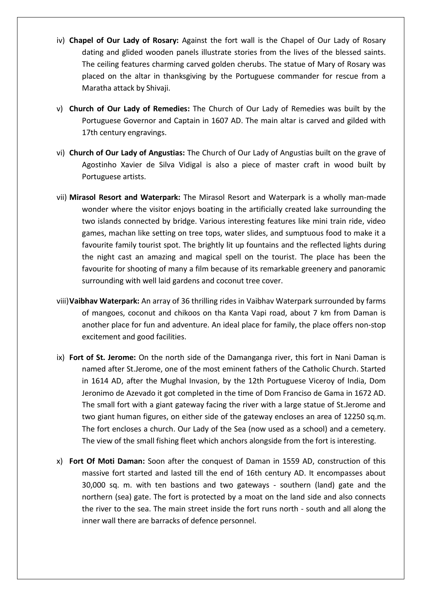- iv) **Chapel of Our Lady of Rosary:** Against the fort wall is the Chapel of Our Lady of Rosary dating and glided wooden panels illustrate stories from the lives of the blessed saints. The ceiling features charming carved golden cherubs. The statue of Mary of Rosary was placed on the altar in thanksgiving by the Portuguese commander for rescue from a Maratha attack by Shivaji.
- v) **Church of Our Lady of Remedies:** The Church of Our Lady of Remedies was built by the Portuguese Governor and Captain in 1607 AD. The main altar is carved and gilded with 17th century engravings.
- vi) **Church of Our Lady of Angustias:** The Church of Our Lady of Angustias built on the grave of Agostinho Xavier de Silva Vidigal is also a piece of master craft in wood built by Portuguese artists.
- vii) **Mirasol Resort and Waterpark:** The Mirasol Resort and Waterpark is a wholly man-made wonder where the visitor enjoys boating in the artificially created lake surrounding the two islands connected by bridge. Various interesting features like mini train ride, video games, machan like setting on tree tops, water slides, and sumptuous food to make it a favourite family tourist spot. The brightly lit up fountains and the reflected lights during the night cast an amazing and magical spell on the tourist. The place has been the favourite for shooting of many a film because of its remarkable greenery and panoramic surrounding with well laid gardens and coconut tree cover.
- viii)**Vaibhav Waterpark:** An array of 36 thrilling rides in Vaibhav Waterpark surrounded by farms of mangoes, coconut and chikoos on tha Kanta Vapi road, about 7 km from Daman is another place for fun and adventure. An ideal place for family, the place offers non-stop excitement and good facilities.
- ix) **Fort of St. Jerome:** On the north side of the Damanganga river, this fort in Nani Daman is named after St.Jerome, one of the most eminent fathers of the Catholic Church. Started in 1614 AD, after the Mughal Invasion, by the 12th Portuguese Viceroy of India, Dom Jeronimo de Azevado it got completed in the time of Dom Franciso de Gama in 1672 AD. The small fort with a giant gateway facing the river with a large statue of St.Jerome and two giant human figures, on either side of the gateway encloses an area of 12250 sq.m. The fort encloses a church. Our Lady of the Sea (now used as a school) and a cemetery. The view of the small fishing fleet which anchors alongside from the fort is interesting.
- x) **Fort Of Moti Daman:** Soon after the conquest of Daman in 1559 AD, construction of this massive fort started and lasted till the end of 16th century AD. It encompasses about 30,000 sq. m. with ten bastions and two gateways - southern (land) gate and the northern (sea) gate. The fort is protected by a moat on the land side and also connects the river to the sea. The main street inside the fort runs north - south and all along the inner wall there are barracks of defence personnel.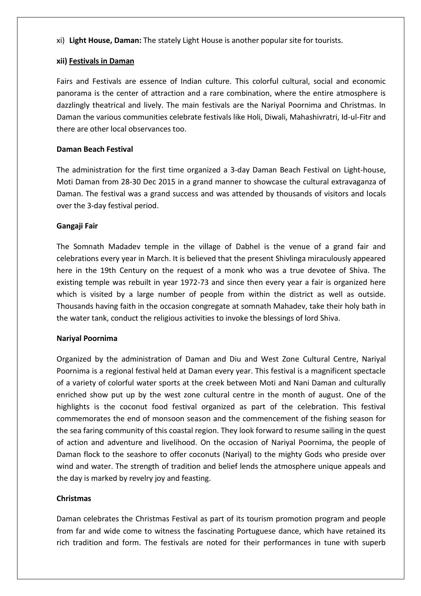xi) **Light House, Daman:** The stately Light House is another popular site for tourists.

#### **xii) Festivals in Daman**

Fairs and Festivals are essence of Indian culture. This colorful cultural, social and economic panorama is the center of attraction and a rare combination, where the entire atmosphere is dazzlingly theatrical and lively. The main festivals are the Nariyal Poornima and Christmas. In Daman the various communities celebrate festivals like Holi, Diwali, Mahashivratri, Id-ul-Fitr and there are other local observances too.

### **Daman Beach Festival**

The administration for the first time organized a 3-day Daman Beach Festival on Light-house, Moti Daman from 28-30 Dec 2015 in a grand manner to showcase the cultural extravaganza of Daman. The festival was a grand success and was attended by thousands of visitors and locals over the 3-day festival period.

#### **Gangaji Fair**

The Somnath Madadev temple in the village of Dabhel is the venue of a grand fair and celebrations every year in March. It is believed that the present Shivlinga miraculously appeared here in the 19th Century on the request of a monk who was a true devotee of Shiva. The existing temple was rebuilt in year 1972-73 and since then every year a fair is organized here which is visited by a large number of people from within the district as well as outside. Thousands having faith in the occasion congregate at somnath Mahadev, take their holy bath in the water tank, conduct the religious activities to invoke the blessings of lord Shiva.

#### **Nariyal Poornima**

Organized by the administration of Daman and Diu and West Zone Cultural Centre, Nariyal Poornima is a regional festival held at Daman every year. This festival is a magnificent spectacle of a variety of colorful water sports at the creek between Moti and Nani Daman and culturally enriched show put up by the west zone cultural centre in the month of august. One of the highlights is the coconut food festival organized as part of the celebration. This festival commemorates the end of monsoon season and the commencement of the fishing season for the sea faring community of this coastal region. They look forward to resume sailing in the quest of action and adventure and livelihood. On the occasion of Nariyal Poornima, the people of Daman flock to the seashore to offer coconuts (Nariyal) to the mighty Gods who preside over wind and water. The strength of tradition and belief lends the atmosphere unique appeals and the day is marked by revelry joy and feasting.

#### **Christmas**

Daman celebrates the Christmas Festival as part of its tourism promotion program and people from far and wide come to witness the fascinating Portuguese dance, which have retained its rich tradition and form. The festivals are noted for their performances in tune with superb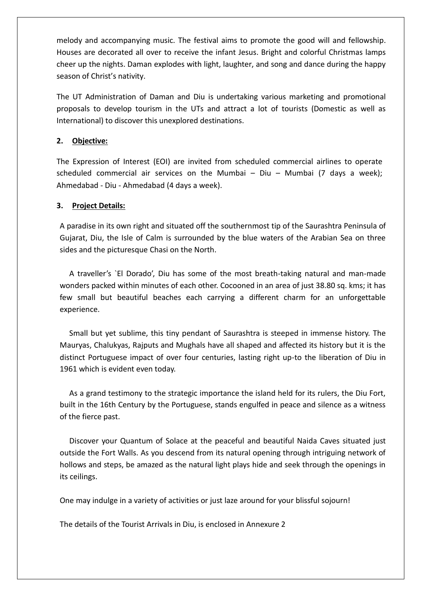melody and accompanying music. The festival aims to promote the good will and fellowship. Houses are decorated all over to receive the infant Jesus. Bright and colorful Christmas lamps cheer up the nights. Daman explodes with light, laughter, and song and dance during the happy season of Christ's nativity.

The UT Administration of Daman and Diu is undertaking various marketing and promotional proposals to develop tourism in the UTs and attract a lot of tourists (Domestic as well as International) to discover this unexplored destinations.

# **2. Objective:**

The Expression of Interest (EOI) are invited from scheduled commercial airlines to operate scheduled commercial air services on the Mumbai – Diu – Mumbai (7 days a week); Ahmedabad - Diu - Ahmedabad (4 days a week).

# **3. Project Details:**

A paradise in its own right and situated off the southernmost tip of the Saurashtra Peninsula of Gujarat, Diu, the Isle of Calm is surrounded by the blue waters of the Arabian Sea on three sides and the picturesque Chasi on the North.

A traveller's `El Dorado', Diu has some of the most breath-taking natural and man-made wonders packed within minutes of each other. Cocooned in an area of just 38.80 sq. kms; it has few small but beautiful beaches each carrying a different charm for an unforgettable experience.

Small but yet sublime, this tiny pendant of Saurashtra is steeped in immense history. The Mauryas, Chalukyas, Rajputs and Mughals have all shaped and affected its history but it is the distinct Portuguese impact of over four centuries, lasting right up-to the liberation of Diu in 1961 which is evident even today.

As a grand testimony to the strategic importance the island held for its rulers, the Diu Fort, built in the 16th Century by the Portuguese, stands engulfed in peace and silence as a witness of the fierce past.

Discover your Quantum of Solace at the peaceful and beautiful Naida Caves situated just outside the Fort Walls. As you descend from its natural opening through intriguing network of hollows and steps, be amazed as the natural light plays hide and seek through the openings in its ceilings.

One may indulge in a variety of activities or just laze around for your blissful sojourn!

The details of the Tourist Arrivals in Diu, is enclosed in Annexure 2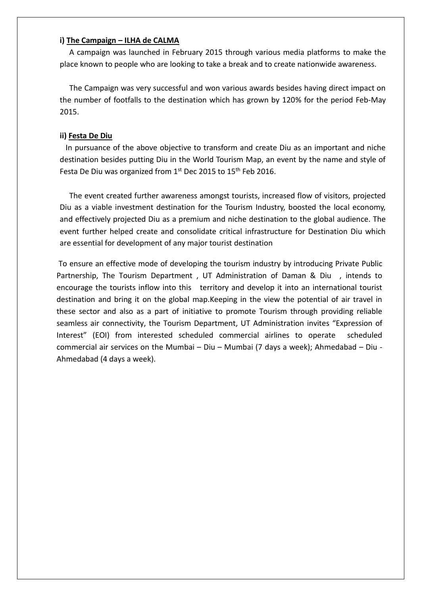#### **i) The Campaign – ILHA de CALMA**

A campaign was launched in February 2015 through various media platforms to make the place known to people who are looking to take a break and to create nationwide awareness.

The Campaign was very successful and won various awards besides having direct impact on the number of footfalls to the destination which has grown by 120% for the period Feb-May 2015.

#### **ii) Festa De Diu**

 In pursuance of the above objective to transform and create Diu as an important and niche destination besides putting Diu in the World Tourism Map, an event by the name and style of Festa De Diu was organized from 1st Dec 2015 to 15<sup>th</sup> Feb 2016.

The event created further awareness amongst tourists, increased flow of visitors, projected Diu as a viable investment destination for the Tourism Industry, boosted the local economy, and effectively projected Diu as a premium and niche destination to the global audience. The event further helped create and consolidate critical infrastructure for Destination Diu which are essential for development of any major tourist destination

To ensure an effective mode of developing the tourism industry by introducing Private Public Partnership, The Tourism Department, UT Administration of Daman & Diu, intends to encourage the tourists inflow into this territory and develop it into an international tourist destination and bring it on the global map.Keeping in the view the potential of air travel in these sector and also as a part of initiative to promote Tourism through providing reliable seamless air connectivity, the Tourism Department, UT Administration invites "Expression of Interest" (EOI) from interested scheduled commercial airlines to operate scheduled commercial air services on the Mumbai – Diu – Mumbai (7 days a week); Ahmedabad – Diu - Ahmedabad (4 days a week).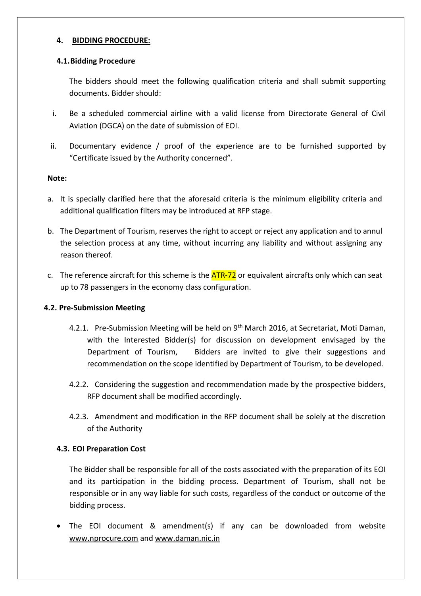#### **4. BIDDING PROCEDURE:**

#### **4.1.Bidding Procedure**

The bidders should meet the following qualification criteria and shall submit supporting documents. Bidder should:

- i. Be a scheduled commercial airline with a valid license from Directorate General of Civil Aviation (DGCA) on the date of submission of EOI.
- ii. Documentary evidence / proof of the experience are to be furnished supported by "Certificate issued by the Authority concerned".

#### **Note:**

- a. It is specially clarified here that the aforesaid criteria is the minimum eligibility criteria and additional qualification filters may be introduced at RFP stage.
- b. The Department of Tourism, reserves the right to accept or reject any application and to annul the selection process at any time, without incurring any liability and without assigning any reason thereof.
- c. The reference aircraft for this scheme is the  $ATR-72$  or equivalent aircrafts only which can seat up to 78 passengers in the economy class configuration.

# **4.2. Pre-Submission Meeting**

- 4.2.1. Pre-Submission Meeting will be held on 9<sup>th</sup> March 2016, at Secretariat, Moti Daman, with the Interested Bidder(s) for discussion on development envisaged by the Department of Tourism, Bidders are invited to give their suggestions and recommendation on the scope identified by Department of Tourism, to be developed.
- 4.2.2. Considering the suggestion and recommendation made by the prospective bidders, RFP document shall be modified accordingly.
- 4.2.3. Amendment and modification in the RFP document shall be solely at the discretion of the Authority

# **4.3. EOI Preparation Cost**

The Bidder shall be responsible for all of the costs associated with the preparation of its EOI and its participation in the bidding process. Department of Tourism, shall not be responsible or in any way liable for such costs, regardless of the conduct or outcome of the bidding process.

 The EOI document & amendment(s) if any can be downloaded from website [www.nprocure.com](http://www.nprocure.com/) and [www.daman.nic.in](http://www.daman.nic.in/)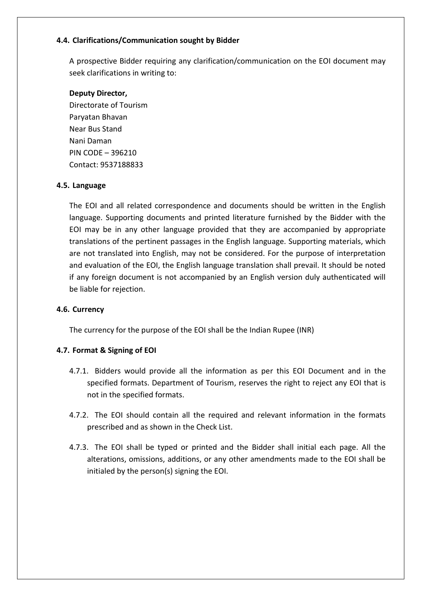# **4.4. Clarifications/Communication sought by Bidder**

A prospective Bidder requiring any clarification/communication on the EOI document may seek clarifications in writing to:

#### **Deputy Director,**

Directorate of Tourism Paryatan Bhavan Near Bus Stand Nani Daman PIN CODE – 396210 Contact: 9537188833

#### **4.5. Language**

The EOI and all related correspondence and documents should be written in the English language. Supporting documents and printed literature furnished by the Bidder with the EOI may be in any other language provided that they are accompanied by appropriate translations of the pertinent passages in the English language. Supporting materials, which are not translated into English, may not be considered. For the purpose of interpretation and evaluation of the EOI, the English language translation shall prevail. It should be noted if any foreign document is not accompanied by an English version duly authenticated will be liable for rejection.

# **4.6. Currency**

The currency for the purpose of the EOI shall be the Indian Rupee (INR)

# **4.7. Format & Signing of EOI**

- 4.7.1. Bidders would provide all the information as per this EOI Document and in the specified formats. Department of Tourism, reserves the right to reject any EOI that is not in the specified formats.
- 4.7.2. The EOI should contain all the required and relevant information in the formats prescribed and as shown in the Check List.
- 4.7.3. The EOI shall be typed or printed and the Bidder shall initial each page. All the alterations, omissions, additions, or any other amendments made to the EOI shall be initialed by the person(s) signing the EOI.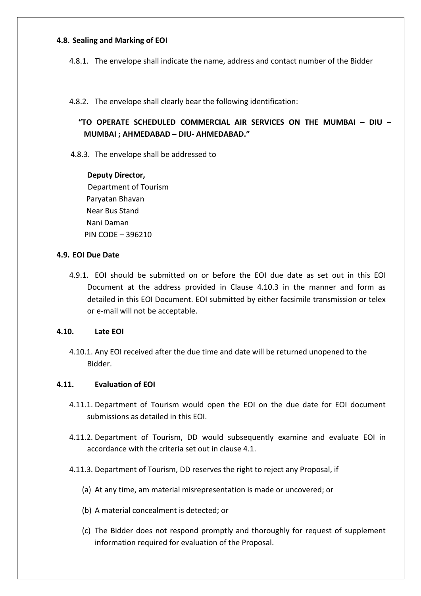#### **4.8. Sealing and Marking of EOI**

4.8.1. The envelope shall indicate the name, address and contact number of the Bidder

4.8.2. The envelope shall clearly bear the following identification:

**"TO OPERATE SCHEDULED COMMERCIAL AIR SERVICES ON THE MUMBAI – DIU – MUMBAI ; AHMEDABAD – DIU- AHMEDABAD."**

4.8.3. The envelope shall be addressed to

#### **Deputy Director,**

 Department of Tourism Paryatan Bhavan Near Bus Stand Nani Daman PIN CODE – 396210

#### **4.9. EOI Due Date**

4.9.1. EOI should be submitted on or before the EOI due date as set out in this EOI Document at the address provided in Clause 4.10.3 in the manner and form as detailed in this EOI Document. EOI submitted by either facsimile transmission or telex or e-mail will not be acceptable.

#### **4.10. Late EOI**

4.10.1. Any EOI received after the due time and date will be returned unopened to the Bidder.

# **4.11. Evaluation of EOI**

- 4.11.1. Department of Tourism would open the EOI on the due date for EOI document submissions as detailed in this EOI.
- 4.11.2. Department of Tourism, DD would subsequently examine and evaluate EOI in accordance with the criteria set out in clause 4.1.
- 4.11.3. Department of Tourism, DD reserves the right to reject any Proposal, if
	- (a) At any time, am material misrepresentation is made or uncovered; or
	- (b) A material concealment is detected; or
	- (c) The Bidder does not respond promptly and thoroughly for request of supplement information required for evaluation of the Proposal.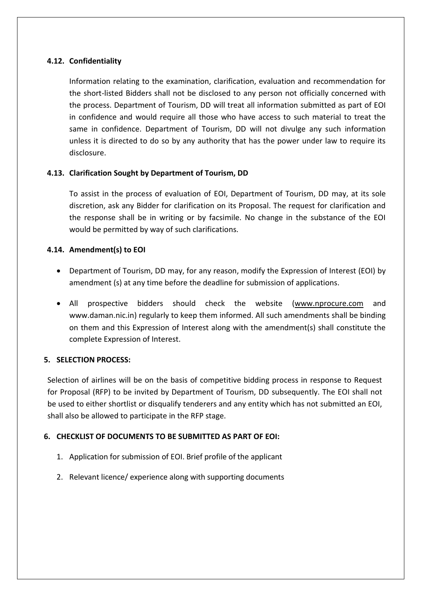## **4.12. Confidentiality**

Information relating to the examination, clarification, evaluation and recommendation for the short-listed Bidders shall not be disclosed to any person not officially concerned with the process. Department of Tourism, DD will treat all information submitted as part of EOI in confidence and would require all those who have access to such material to treat the same in confidence. Department of Tourism, DD will not divulge any such information unless it is directed to do so by any authority that has the power under law to require its disclosure.

#### **4.13. Clarification Sought by Department of Tourism, DD**

To assist in the process of evaluation of EOI, Department of Tourism, DD may, at its sole discretion, ask any Bidder for clarification on its Proposal. The request for clarification and the response shall be in writing or by facsimile. No change in the substance of the EOI would be permitted by way of such clarifications.

#### **4.14. Amendment(s) to EOI**

- Department of Tourism, DD may, for any reason, modify the Expression of Interest (EOI) by amendment (s) at any time before the deadline for submission of applications.
- All prospective bidders should check the website [\(www.nprocure.com](http://www.nprocure.com/) and www.daman.nic.in) regularly to keep them informed. All such amendments shall be binding on them and this Expression of Interest along with the amendment(s) shall constitute the complete Expression of Interest.

#### **5. SELECTION PROCESS:**

Selection of airlines will be on the basis of competitive bidding process in response to Request for Proposal (RFP) to be invited by Department of Tourism, DD subsequently. The EOI shall not be used to either shortlist or disqualify tenderers and any entity which has not submitted an EOI, shall also be allowed to participate in the RFP stage.

# **6. CHECKLIST OF DOCUMENTS TO BE SUBMITTED AS PART OF EOI:**

- 1. Application for submission of EOI. Brief profile of the applicant
- 2. Relevant licence/ experience along with supporting documents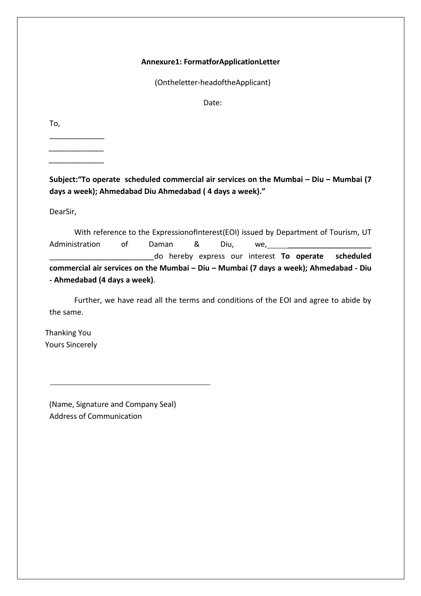#### **Annexure1: FormatforApplicationLetter**

(Ontheletter-headoftheApplicant)

Date:

To,

\_\_\_\_\_\_\_\_\_\_\_\_\_ \_\_\_\_\_\_\_\_\_\_\_\_\_ \_\_\_\_\_\_\_\_\_\_\_\_\_

**Subject:"To operate scheduled commercial air services on the Mumbai – Diu – Mumbai (7 days a week); Ahmedabad Diu Ahmedabad ( 4 days a week)."**

DearSir,

With reference to the ExpressionofInterest(EOI) issued by Department of Tourism, UT Administration of Daman & Diu, we, \_\_\_\_\_\_\_\_\_\_\_\_\_\_\_\_\_\_\_\_\_\_\_\_\_do hereby express our interest **To operate scheduled commercial air services on the Mumbai – Diu – Mumbai (7 days a week); Ahmedabad - Diu - Ahmedabad (4 days a week)**.

Further, we have read all the terms and conditions of the EOI and agree to abide by the same.

Thanking You Yours Sincerely

(Name, Signature and Company Seal) Address of Communication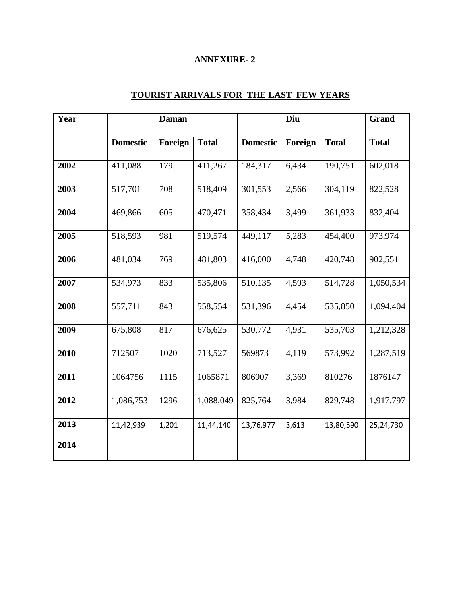# **ANNEXURE- 2**

| Year | <b>Daman</b>    |         |              | Diu             |         |              | Grand        |
|------|-----------------|---------|--------------|-----------------|---------|--------------|--------------|
|      | <b>Domestic</b> | Foreign | <b>Total</b> | <b>Domestic</b> | Foreign | <b>Total</b> | <b>Total</b> |
| 2002 | 411,088         | 179     | 411,267      | 184,317         | 6,434   | 190,751      | 602,018      |
| 2003 | 517,701         | 708     | 518,409      | 301,553         | 2,566   | 304,119      | 822,528      |
| 2004 | 469,866         | 605     | 470,471      | 358,434         | 3,499   | 361,933      | 832,404      |
| 2005 | 518,593         | 981     | 519,574      | 449,117         | 5,283   | 454,400      | 973,974      |
| 2006 | 481,034         | 769     | 481,803      | 416,000         | 4,748   | 420,748      | 902,551      |
| 2007 | 534,973         | 833     | 535,806      | 510,135         | 4,593   | 514,728      | 1,050,534    |
| 2008 | 557,711         | 843     | 558,554      | 531,396         | 4,454   | 535,850      | 1,094,404    |
| 2009 | 675,808         | 817     | 676,625      | 530,772         | 4,931   | 535,703      | 1,212,328    |
| 2010 | 712507          | 1020    | 713,527      | 569873          | 4,119   | 573,992      | 1,287,519    |
| 2011 | 1064756         | 1115    | 1065871      | 806907          | 3,369   | 810276       | 1876147      |
| 2012 | 1,086,753       | 1296    | 1,088,049    | 825,764         | 3,984   | 829,748      | 1,917,797    |
| 2013 | 11,42,939       | 1,201   | 11,44,140    | 13,76,977       | 3,613   | 13,80,590    | 25,24,730    |
| 2014 |                 |         |              |                 |         |              |              |

# **TOURIST ARRIVALS FOR THE LAST FEW YEARS**